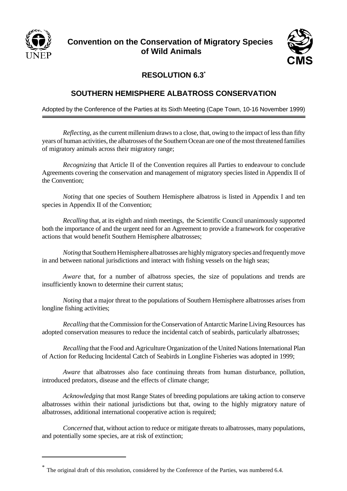

## **Convention on the Conservation of Migratory Species of Wild Animals**



## **RESOLUTION 6.3\***

## **SOUTHERN HEMISPHERE ALBATROSS CONSERVATION**

Adopted by the Conference of the Parties at its Sixth Meeting (Cape Town, 10-16 November 1999)

*Reflecting*, as the current millenium draws to a close, that, owing to the impact of less than fifty years of human activities, the albatrosses of the Southern Ocean are one of the most threatened families of migratory animals across their migratory range;

*Recognizing* that Article II of the Convention requires all Parties to endeavour to conclude Agreements covering the conservation and management of migratory species listed in Appendix II of the Convention;

*Noting* that one species of Southern Hemisphere albatross is listed in Appendix I and ten species in Appendix II of the Convention;

*Recalling* that, at its eighth and ninth meetings, the Scientific Council unanimously supported both the importance of and the urgent need for an Agreement to provide a framework for cooperative actions that would benefit Southern Hemisphere albatrosses;

*Noting* that Southern Hemisphere albatrosses are highly migratory species and frequently move in and between national jurisdictions and interact with fishing vessels on the high seas;

*Aware* that, for a number of albatross species, the size of populations and trends are insufficiently known to determine their current status;

*Noting* that a major threat to the populations of Southern Hemisphere albatrosses arises from longline fishing activities;

*Recalling* that the Commission for the Conservation of Antarctic Marine Living Resources has adopted conservation measures to reduce the incidental catch of seabirds, particularly albatrosses;

*Recalling* that the Food and Agriculture Organization of the United Nations International Plan of Action for Reducing Incidental Catch of Seabirds in Longline Fisheries was adopted in 1999;

*Aware* that albatrosses also face continuing threats from human disturbance, pollution, introduced predators, disease and the effects of climate change;

*Acknowledging* that most Range States of breeding populations are taking action to conserve albatrosses within their national jurisdictions but that, owing to the highly migratory nature of albatrosses, additional international cooperative action is required;

*Concerned* that, without action to reduce or mitigate threats to albatrosses, many populations, and potentially some species, are at risk of extinction;

<sup>\*</sup> The original draft of this resolution, considered by the Conference of the Parties, was numbered 6.4.